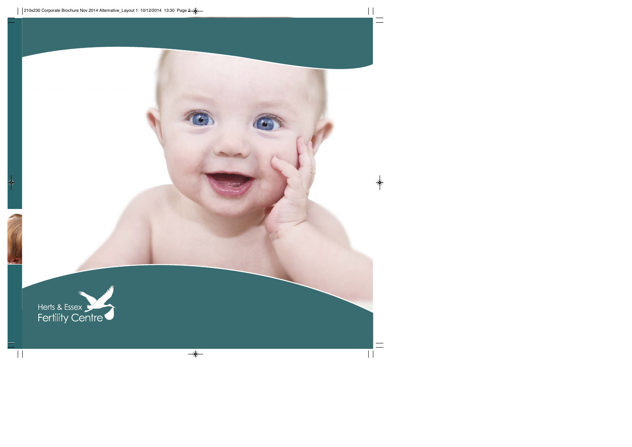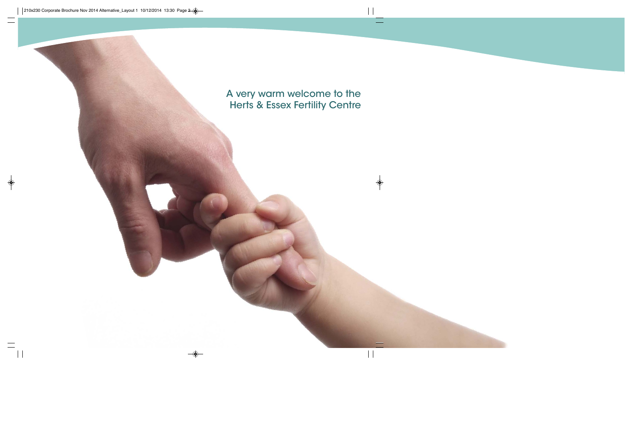A very warm welcome to the Herts & Essex Fertility Centre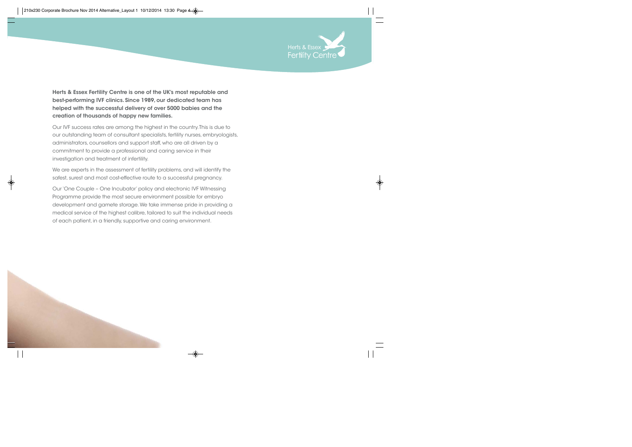

**Herts & Essex Fertility Centre is one of the UK's most reputable and best-performing IVF clinics. Since 1989, our dedicated team has helped with the successful delivery of over 5000 babies and the creation of thousands of happy new families.** 

Our IVF success rates are among the highest in the country. This is due to our outstanding team of consultant specialists, fertility nurses, embryologists, administrators, counsellors and support staff, who are all driven by a commitment to provide a professional and caring service in their investigation and treatment of infertility.

We are experts in the assessment of fertility problems, and will identify the safest, surest and most cost-effective route to a successful pregnancy.

Our 'One Couple – One Incubator' policy and electronic IVF Witnessing Programme provide the most secure environment possible for embryo development and gamete storage. We take immense pride in providing a medical service of the highest calibre, tailored to suit the individual needs of each patient, in a friendly, supportive and caring environment.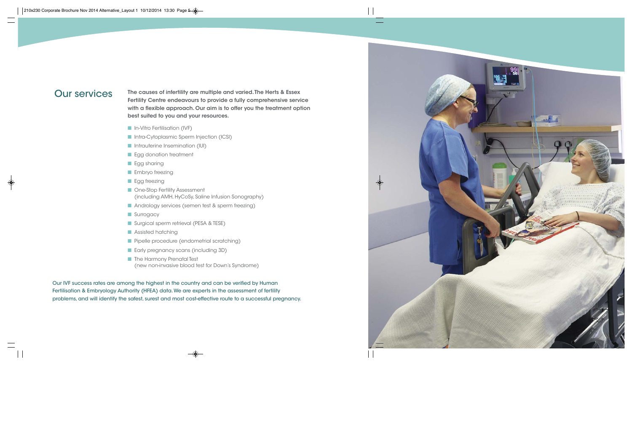### Our services

**The causes of infertility are multiple and varied. The Herts & Essex Fertility Centre endeavours to provide a fully comprehensive service with a flexible approach. Our aim is to offer you the treatment option best suited to you and your resources.**

- **n** In-Vitro Fertilisation (IVF)
- **n Intra-Cytoplasmic Sperm Injection (ICSI)**
- **n** Intrauterine Insemination (IUI)
- **n** Egg donation treatment
- **n** Egg sharing
- $\blacksquare$  Embryo freezing
- **n** Egg freezing
- **n** One-Stop Fertility Assessment (including AMH, HyCoSy, Saline Infusion Sonography)
- Andrology services (semen test & sperm freezing)
- **n** Surrogacy
- Surgical sperm retrieval (PESA & TESE)
- **n** Assisted hatching
- **n** Pipelle procedure (endometrial scratching)
- **n** Early pregnancy scans (including 3D)
- **n** The Harmony Prenatal Test (new non-invasive blood test for Down's Syndrome)

Our IVF success rates are among the highest in the country and can be verified by Human Fertilisation & Embryology Authority (HFEA) data. We are experts in the assessment of fertility problems, and will identify the safest, surest and most cost-effective route to a successful pregnancy.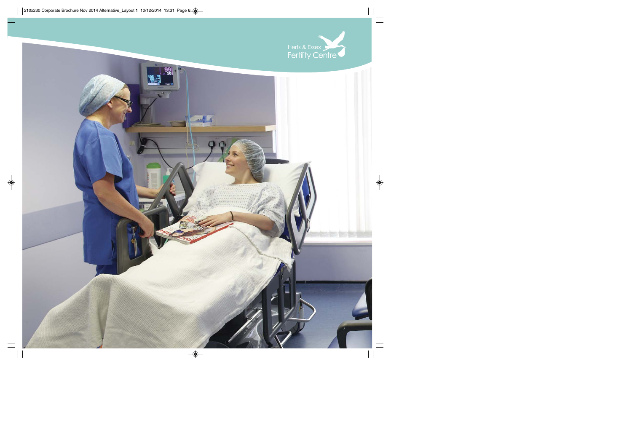

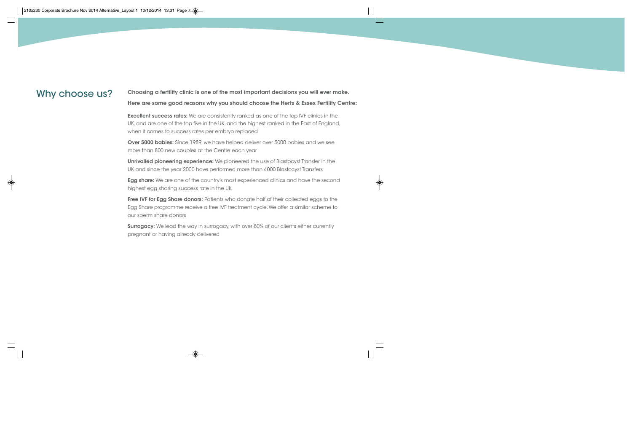Why choose us? Choosing a fertility clinic is one of the most important decisions you will ever make. **Here are some good reasons why you should choose the Herts & Essex Fertility Centre:**

> **Excellent success rates:** We are consistently ranked as one of the top IVF clinics in the UK, and are one of the top five in the UK, and the highest ranked in the East of England, when it comes to success rates per embryo replaced

**Over 5000 babies:** Since 1989, we have helped deliver over 5000 babies and we see more than 800 new couples at the Centre each year

**Unrivalled pioneering experience:** We pioneered the use of Blastocyst Transfer in the UK and since the year 2000 have performed more than 4000 Blastocyst Transfers

**Egg share:** We are one of the country's most experienced clinics and have the second highest egg sharing success rate in the UK

**Free IVF for Egg Share donors:** Patients who donate half of their collected eggs to the Egg Share programme receive a free IVF treatment cycle. We offer a similar scheme to our sperm share donors

**Surrogacy:** We lead the way in surrogacy, with over 80% of our clients either currently pregnant or having already delivered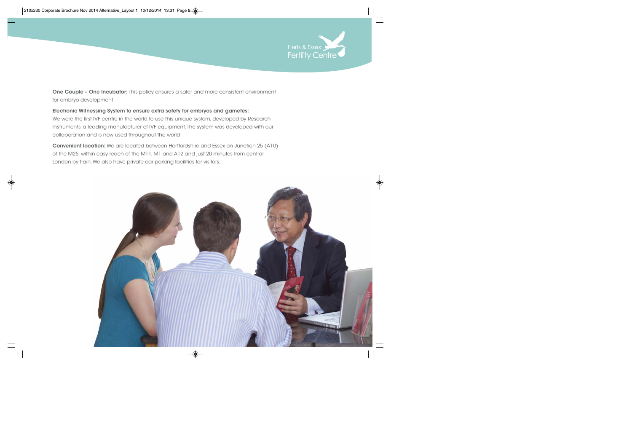

**One Couple – One Incubator:** This policy ensures a safer and more consistent environment for embryo development

**Electronic Witnessing System to ensure extra safety for embryos and gametes:**  We were the first IVF centre in the world to use this unique system, developed by Research Instruments, a leading manufacturer of IVF equipment. The system was developed with our collaboration and is now used throughout the world

**Convenient location:** We are located between Hertfordshire and Essex on Junction 25 (A10) of the M25, within easy reach of the M11, M1 and A12 and just 20 minutes from central London by train. We also have private car parking facilities for visitors.

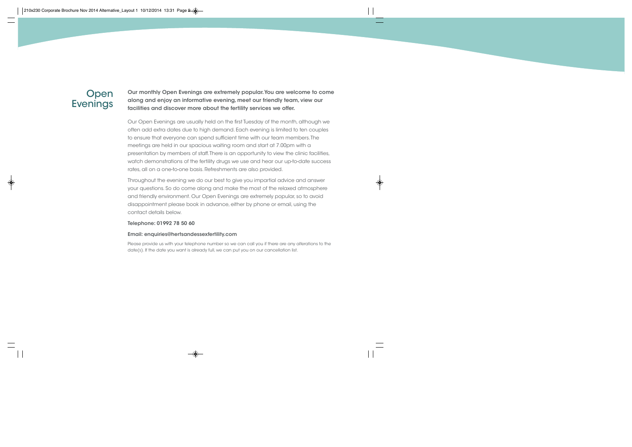## Open **Evenings**

**Our monthly Open Evenings are extremely popular. You are welcome to come along and enjoy an informative evening, meet our friendly team, view our facilities and discover more about the fertility services we offer.**

Our Open Evenings are usually held on the first Tuesday of the month, although we often add extra dates due to high demand. Each evening is limited to ten couples to ensure that everyone can spend sufficient time with our team members. The meetings are held in our spacious waiting room and start at 7.00pm with a presentation by members of staff. There is an opportunity to view the clinic facilities, watch demonstrations of the fertility drugs we use and hear our up-to-date success rates, all on a one-to-one basis. Refreshments are also provided.

Throughout the evening we do our best to give you impartial advice and answer your questions. So do come along and make the most of the relaxed atmosphere and friendly environment. Our Open Evenings are extremely popular, so to avoid disappointment please book in advance, either by phone or email, using the contact details below.

#### **Telephone: 01992 78 50 60**

#### **Email: enquiries@hertsandessexfertility.com**

Please provide us with your telephone number so we can call you if there are any alterations to the date(s). If the date you want is already full, we can put you on our cancellation list.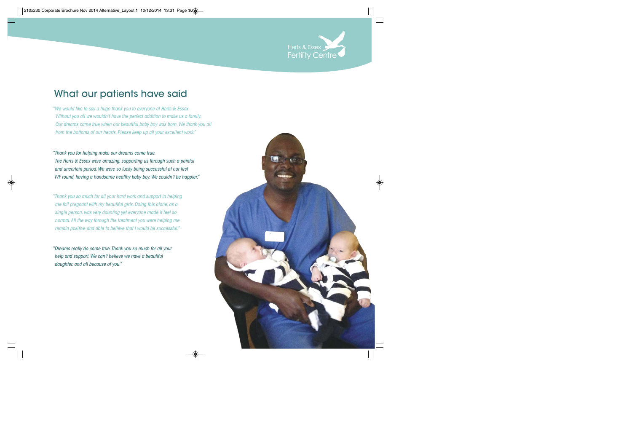

# What our patients have said

*"We would like to say a huge thank you to everyone at Herts & Essex. Without you all we wouldn't have the perfect addition to make us a family. Our dreams came true when our beautiful baby boy was born. We thank you all from the bottoms of our hearts. Please keep up all your excellent work."*

*"Thank you for helping make our dreams come true. The Herts & Essex were amazing, supporting us through such a painful and uncertain period. We were so lucky being successful at our first IVF round, having a handsome healthy baby boy. We couldn't be happier."*

*"Thank you so much for all your hard work and support in helping me fall pregnant with my beautiful girls. Doing this alone, as a single person, was very daunting yet everyone made it feel so normal. All the way through the treatment you were helping me remain positive and able to believe that I would be successful."*

*"Dreams really do come true. Thank you so much for all your help and support. We can't believe we have a beautiful daughter, and all because of you."*

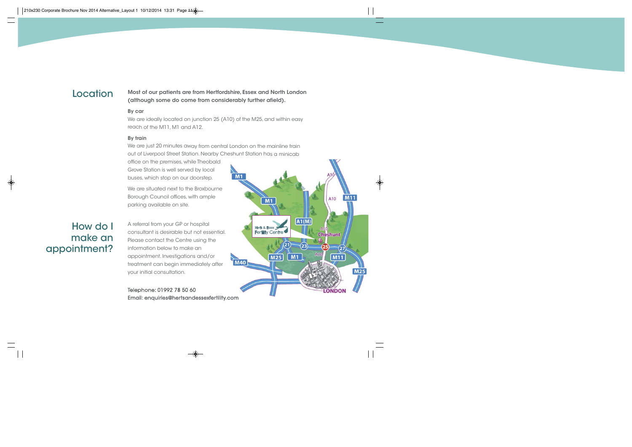### **Location**

### **Most of our patients are from Hertfordshire, Essex and North London (although some do come from considerably further afield).**

### **By car**

We are ideally located on junction 25 (A10) of the M25, and within easy reach of the M11, M1 and A12.

### **By train**

We are just 20 minutes away from central London on the mainline train out of Liverpool Street Station. Nearby Cheshunt Station has a minicab

office on the premises, while Theobald Grove Station is well served by local buses, which stop on our doorstep.

We are situated next to the Broxbourne Borough Council offices, with ample parking available on site.

# How do I make an appointment?

A referral from your GP or hospital consultant is desirable but not essential. Please contact the Centre using the information below to make an appointment. Investigations and/or treatment can begin immediately after your initial consultation.

Telephone: 01992 78 50 60 Email: enquiries@hertsandessexfertility.com

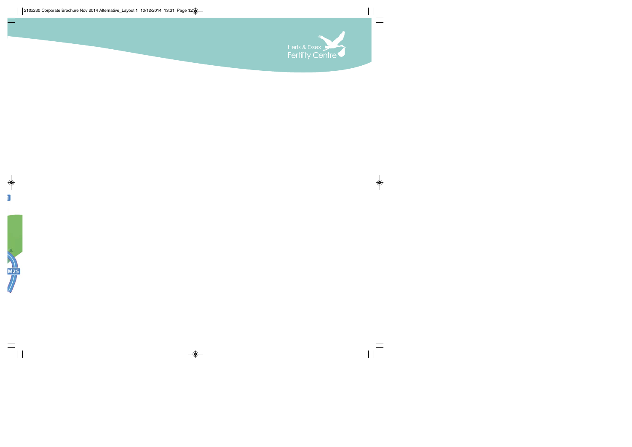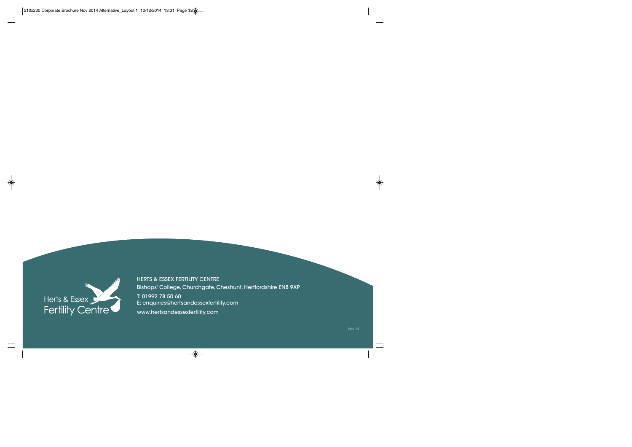

HERTS & ESSEX FERTILITY CENTRE Bishops' College, Churchgate, Cheshunt, Hertfordshire EN8 9XP T: 01992 78 50 60 E: enquiries@hertsandessexfertility.com

www.hertsandessexfertility.com